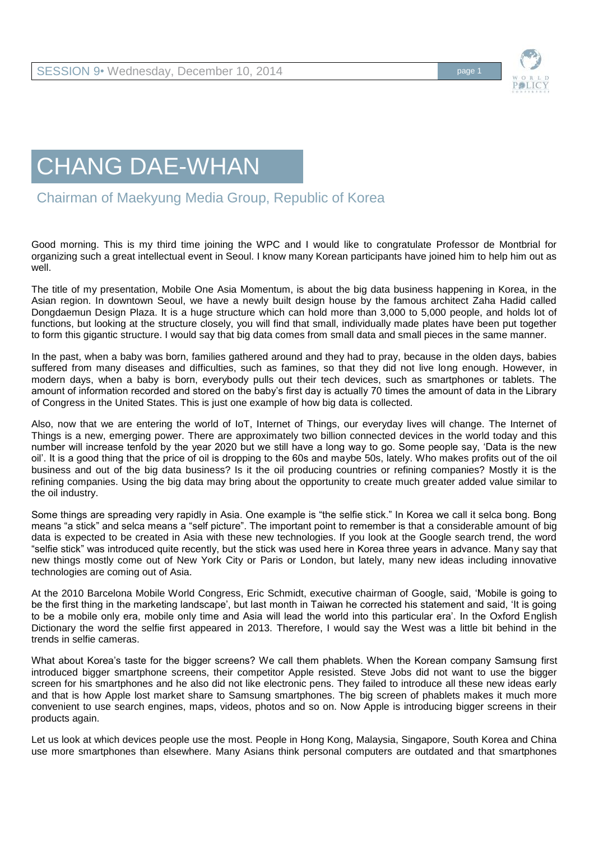

## CHANG DAE-WHAN

Chairman of Maekyung Media Group, Republic of Korea

Good morning. This is my third time joining the WPC and I would like to congratulate Professor de Montbrial for organizing such a great intellectual event in Seoul. I know many Korean participants have joined him to help him out as well.

The title of my presentation, Mobile One Asia Momentum, is about the big data business happening in Korea, in the Asian region. In downtown Seoul, we have a newly built design house by the famous architect Zaha Hadid called Dongdaemun Design Plaza. It is a huge structure which can hold more than 3,000 to 5,000 people, and holds lot of functions, but looking at the structure closely, you will find that small, individually made plates have been put together to form this gigantic structure. I would say that big data comes from small data and small pieces in the same manner.

In the past, when a baby was born, families gathered around and they had to pray, because in the olden days, babies suffered from many diseases and difficulties, such as famines, so that they did not live long enough. However, in modern days, when a baby is born, everybody pulls out their tech devices, such as smartphones or tablets. The amount of information recorded and stored on the baby's first day is actually 70 times the amount of data in the Library of Congress in the United States. This is just one example of how big data is collected.

Also, now that we are entering the world of IoT, Internet of Things, our everyday lives will change. The Internet of Things is a new, emerging power. There are approximately two billion connected devices in the world today and this number will increase tenfold by the year 2020 but we still have a long way to go. Some people say, 'Data is the new oil'. It is a good thing that the price of oil is dropping to the 60s and maybe 50s, lately. Who makes profits out of the oil business and out of the big data business? Is it the oil producing countries or refining companies? Mostly it is the refining companies. Using the big data may bring about the opportunity to create much greater added value similar to the oil industry.

Some things are spreading very rapidly in Asia. One example is "the selfie stick." In Korea we call it selca bong. Bong means "a stick" and selca means a "self picture". The important point to remember is that a considerable amount of big data is expected to be created in Asia with these new technologies. If you look at the Google search trend, the word "selfie stick" was introduced quite recently, but the stick was used here in Korea three years in advance. Many say that new things mostly come out of New York City or Paris or London, but lately, many new ideas including innovative technologies are coming out of Asia.

At the 2010 Barcelona Mobile World Congress, Eric Schmidt, executive chairman of Google, said, 'Mobile is going to be the first thing in the marketing landscape', but last month in Taiwan he corrected his statement and said, 'It is going to be a mobile only era, mobile only time and Asia will lead the world into this particular era'. In the Oxford English Dictionary the word the selfie first appeared in 2013. Therefore, I would say the West was a little bit behind in the trends in selfie cameras.

What about Korea's taste for the bigger screens? We call them phablets. When the Korean company Samsung first introduced bigger smartphone screens, their competitor Apple resisted. Steve Jobs did not want to use the bigger screen for his smartphones and he also did not like electronic pens. They failed to introduce all these new ideas early and that is how Apple lost market share to Samsung smartphones. The big screen of phablets makes it much more convenient to use search engines, maps, videos, photos and so on. Now Apple is introducing bigger screens in their products again.

Let us look at which devices people use the most. People in Hong Kong, Malaysia, Singapore, South Korea and China use more smartphones than elsewhere. Many Asians think personal computers are outdated and that smartphones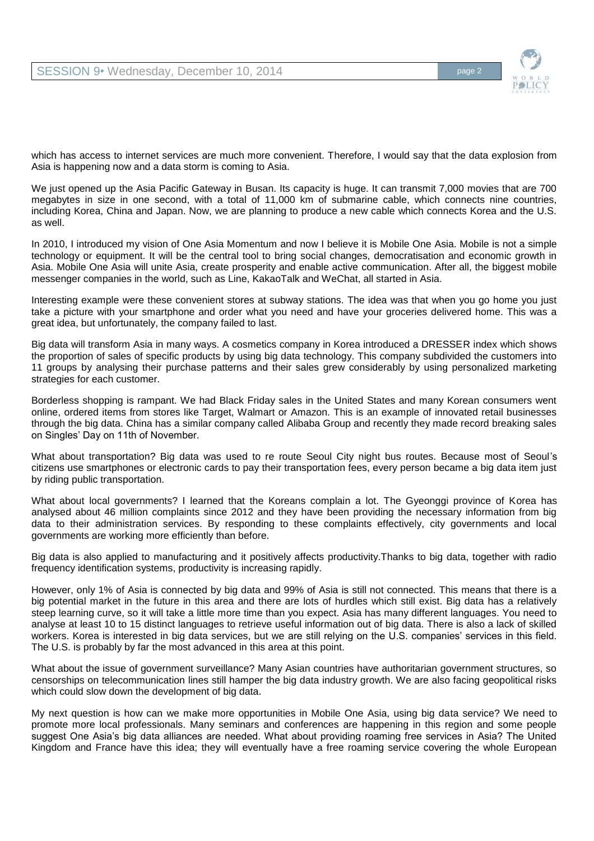

which has access to internet services are much more convenient. Therefore, I would say that the data explosion from Asia is happening now and a data storm is coming to Asia.

We just opened up the Asia Pacific Gateway in Busan. Its capacity is huge. It can transmit 7,000 movies that are 700 megabytes in size in one second, with a total of 11,000 km of submarine cable, which connects nine countries, including Korea, China and Japan. Now, we are planning to produce a new cable which connects Korea and the U.S. as well.

In 2010, I introduced my vision of One Asia Momentum and now I believe it is Mobile One Asia. Mobile is not a simple technology or equipment. It will be the central tool to bring social changes, democratisation and economic growth in Asia. Mobile One Asia will unite Asia, create prosperity and enable active communication. After all, the biggest mobile messenger companies in the world, such as Line, KakaoTalk and WeChat, all started in Asia.

Interesting example were these convenient stores at subway stations. The idea was that when you go home you just take a picture with your smartphone and order what you need and have your groceries delivered home. This was a great idea, but unfortunately, the company failed to last.

Big data will transform Asia in many ways. A cosmetics company in Korea introduced a DRESSER index which shows the proportion of sales of specific products by using big data technology. This company subdivided the customers into 11 groups by analysing their purchase patterns and their sales grew considerably by using personalized marketing strategies for each customer.

Borderless shopping is rampant. We had Black Friday sales in the United States and many Korean consumers went online, ordered items from stores like Target, Walmart or Amazon. This is an example of innovated retail businesses through the big data. China has a similar company called Alibaba Group and recently they made record breaking sales on Singles' Day on 11th of November.

What about transportation? Big data was used to re route Seoul City night bus routes. Because most of Seoul's citizens use smartphones or electronic cards to pay their transportation fees, every person became a big data item just by riding public transportation.

What about local governments? I learned that the Koreans complain a lot. The Gyeonggi province of Korea has analysed about 46 million complaints since 2012 and they have been providing the necessary information from big data to their administration services. By responding to these complaints effectively, city governments and local governments are working more efficiently than before.

Big data is also applied to manufacturing and it positively affects productivity.Thanks to big data, together with radio frequency identification systems, productivity is increasing rapidly.

However, only 1% of Asia is connected by big data and 99% of Asia is still not connected. This means that there is a big potential market in the future in this area and there are lots of hurdles which still exist. Big data has a relatively steep learning curve, so it will take a little more time than you expect. Asia has many different languages. You need to analyse at least 10 to 15 distinct languages to retrieve useful information out of big data. There is also a lack of skilled workers. Korea is interested in big data services, but we are still relying on the U.S. companies' services in this field. The U.S. is probably by far the most advanced in this area at this point.

What about the issue of government surveillance? Many Asian countries have authoritarian government structures, so censorships on telecommunication lines still hamper the big data industry growth. We are also facing geopolitical risks which could slow down the development of big data.

My next question is how can we make more opportunities in Mobile One Asia, using big data service? We need to promote more local professionals. Many seminars and conferences are happening in this region and some people suggest One Asia's big data alliances are needed. What about providing roaming free services in Asia? The United Kingdom and France have this idea; they will eventually have a free roaming service covering the whole European